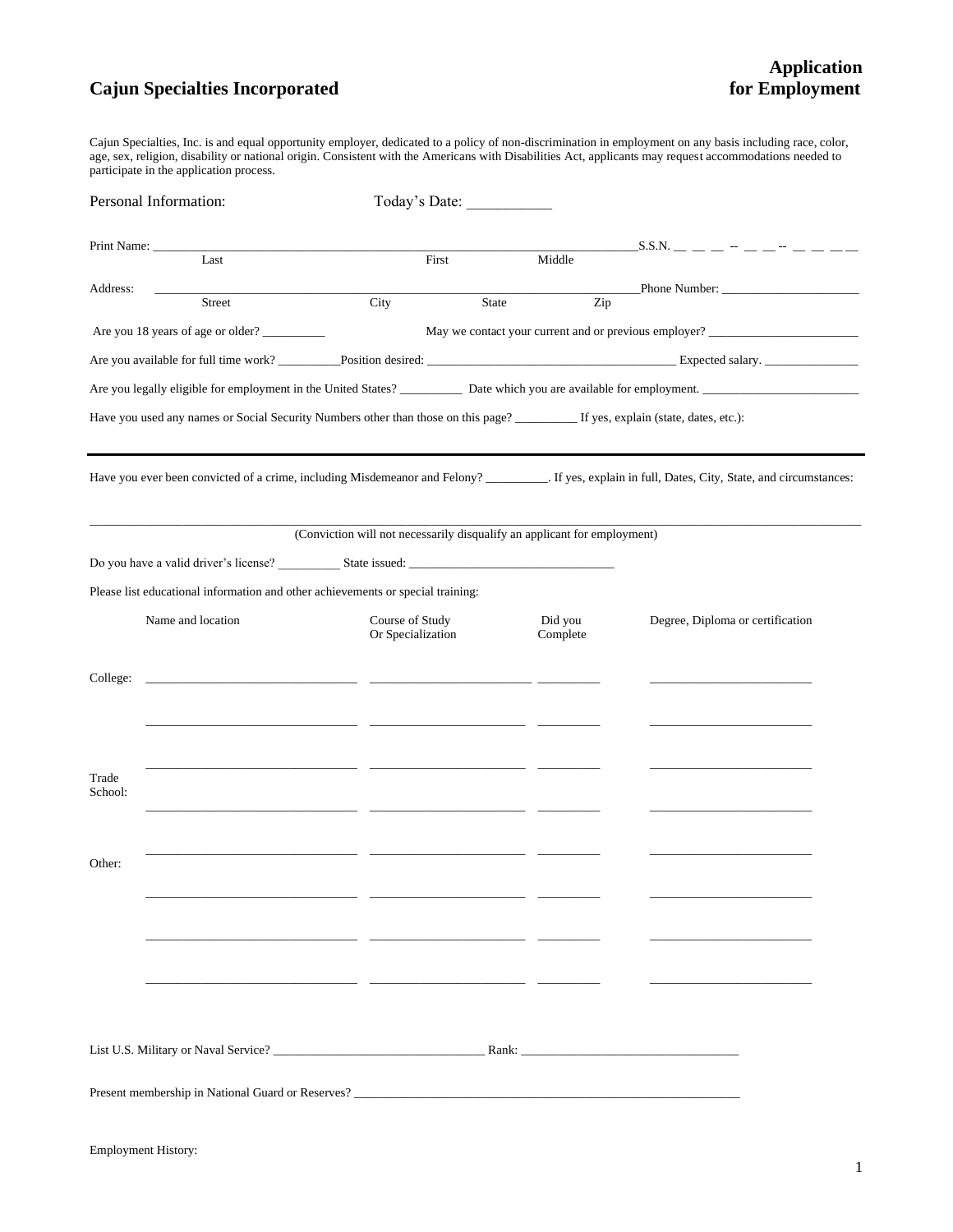## **Cajun Specialties Incorporated**

Cajun Specialties, Inc. is and equal opportunity employer, dedicated to a policy of non-discrimination in employment on any basis including race, color, age, sex, religion, disability or national origin. Consistent with the Americans with Disabilities Act, applicants may request accommodations needed to participate in the application process.

| Personal Information: |                                                                                                                         | Today's Date:                                                            |                     |                                                                                                                                                         |  |
|-----------------------|-------------------------------------------------------------------------------------------------------------------------|--------------------------------------------------------------------------|---------------------|---------------------------------------------------------------------------------------------------------------------------------------------------------|--|
|                       | Print Name:                                                                                                             |                                                                          |                     |                                                                                                                                                         |  |
| Address:              | Last<br>the company of the company of the company<br>Street                                                             | First<br>City<br>State                                                   | Middle<br>Zip       | Phone Number:                                                                                                                                           |  |
|                       | Are you 18 years of age or older?                                                                                       |                                                                          |                     | May we contact your current and or previous employer? __________________________                                                                        |  |
|                       |                                                                                                                         |                                                                          |                     |                                                                                                                                                         |  |
|                       |                                                                                                                         |                                                                          |                     |                                                                                                                                                         |  |
|                       |                                                                                                                         |                                                                          |                     |                                                                                                                                                         |  |
|                       | Have you used any names or Social Security Numbers other than those on this page? If yes, explain (state, dates, etc.): |                                                                          |                     |                                                                                                                                                         |  |
|                       |                                                                                                                         | (Conviction will not necessarily disqualify an applicant for employment) |                     | Have you ever been convicted of a crime, including Misdemeanor and Felony? ___________. If yes, explain in full, Dates, City, State, and circumstances: |  |
|                       |                                                                                                                         |                                                                          |                     |                                                                                                                                                         |  |
|                       | Please list educational information and other achievements or special training:                                         |                                                                          |                     |                                                                                                                                                         |  |
|                       | Name and location                                                                                                       | Course of Study<br>Or Specialization                                     | Did you<br>Complete | Degree, Diploma or certification                                                                                                                        |  |
| College:              |                                                                                                                         |                                                                          |                     |                                                                                                                                                         |  |
| Trade<br>School:      | <u> 1980 - Albert Stormer (d. 1980)</u>                                                                                 |                                                                          |                     |                                                                                                                                                         |  |
| Other:                |                                                                                                                         |                                                                          |                     |                                                                                                                                                         |  |
|                       | Present membership in National Guard or Reserves?                                                                       |                                                                          |                     |                                                                                                                                                         |  |